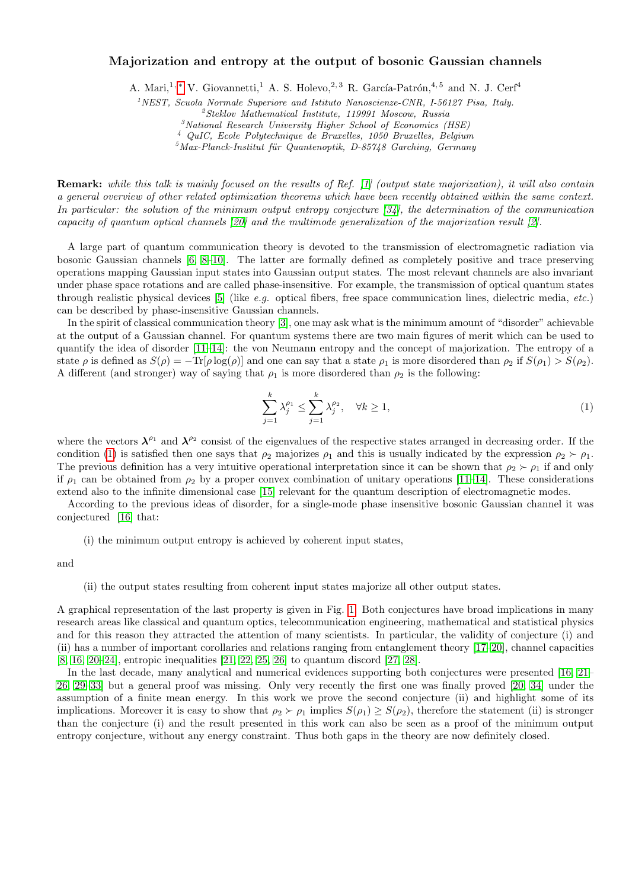## Majorization and entropy at the output of bosonic Gaussian channels

A. Mari,<sup>1,\*</sup> V. Giovannetti,<sup>1</sup> A. S. Holevo,<sup>2,3</sup> R. García-Patrón,<sup>4,5</sup> and N. J. Cerf<sup>4</sup>

 $1$ <sup>1</sup>NEST, Scuola Normale Superiore and Istituto Nanoscienze-CNR, I-56127 Pisa, Italy.

 $3$ National Research University Higher School of Economics (HSE)

<sup>4</sup> QuIC, Ecole Polytechnique de Bruxelles, 1050 Bruxelles, Belgium

 $5$ Max-Planck-Institut für Quantenoptik, D-85748 Garching, Germany

Remark: while this talk is mainly focused on the results of Ref. [\[1\]](#page-2-1) (output state majorization), it will also contain a general overview of other related optimization theorems which have been recently obtained within the same context. In particular: the solution of the minimum output entropy conjecture [\[34\]](#page-2-2), the determination of the communication capacity of quantum optical channels [\[20\]](#page-2-3) and the multimode generalization of the majorization result [\[2\]](#page-2-4).

A large part of quantum communication theory is devoted to the transmission of electromagnetic radiation via bosonic Gaussian channels [\[6,](#page-2-5) [8](#page-2-6)[–10\]](#page-2-7). The latter are formally defined as completely positive and trace preserving operations mapping Gaussian input states into Gaussian output states. The most relevant channels are also invariant under phase space rotations and are called phase-insensitive. For example, the transmission of optical quantum states through realistic physical devices [\[5\]](#page-2-8) (like e.g. optical fibers, free space communication lines, dielectric media, etc.) can be described by phase-insensitive Gaussian channels.

In the spirit of classical communication theory [\[3\]](#page-2-9), one may ask what is the minimum amount of "disorder" achievable at the output of a Gaussian channel. For quantum systems there are two main figures of merit which can be used to quantify the idea of disorder [\[11](#page-2-10)[–14\]](#page-2-11): the von Neumann entropy and the concept of majorization. The entropy of a state  $\rho$  is defined as  $S(\rho) = -\text{Tr}[\rho \log(\rho)]$  and one can say that a state  $\rho_1$  is more disordered than  $\rho_2$  if  $S(\rho_1) > S(\rho_2)$ . A different (and stronger) way of saying that  $\rho_1$  is more disordered than  $\rho_2$  is the following:

<span id="page-0-0"></span>
$$
\sum_{j=1}^{k} \lambda_j^{\rho_1} \le \sum_{j=1}^{k} \lambda_j^{\rho_2}, \quad \forall k \ge 1,
$$
\n(1)

where the vectors  $\lambda^{\rho_1}$  and  $\lambda^{\rho_2}$  consist of the eigenvalues of the respective states arranged in decreasing order. If the condition [\(1\)](#page-0-0) is satisfied then one says that  $\rho_2$  majorizes  $\rho_1$  and this is usually indicated by the expression  $\rho_2 \succ \rho_1$ . The previous definition has a very intuitive operational interpretation since it can be shown that  $\rho_2 \succ \rho_1$  if and only if  $\rho_1$  can be obtained from  $\rho_2$  by a proper convex combination of unitary operations [\[11–](#page-2-10)[14\]](#page-2-11). These considerations extend also to the infinite dimensional case [\[15\]](#page-2-12) relevant for the quantum description of electromagnetic modes.

According to the previous ideas of disorder, for a single-mode phase insensitive bosonic Gaussian channel it was conjectured [\[16\]](#page-2-13) that:

(i) the minimum output entropy is achieved by coherent input states,

and

## (ii) the output states resulting from coherent input states majorize all other output states.

A graphical representation of the last property is given in Fig. [1.](#page-1-0) Both conjectures have broad implications in many research areas like classical and quantum optics, telecommunication engineering, mathematical and statistical physics and for this reason they attracted the attention of many scientists. In particular, the validity of conjecture (i) and (ii) has a number of important corollaries and relations ranging from entanglement theory [\[17–](#page-2-14)[20\]](#page-2-3), channel capacities [\[8,](#page-2-6) [16,](#page-2-13) [20–](#page-2-3)[24\]](#page-2-15), entropic inequalities [\[21,](#page-2-16) [22,](#page-2-17) [25,](#page-2-18) [26\]](#page-2-19) to quantum discord [\[27,](#page-2-20) [28\]](#page-2-21).

In the last decade, many analytical and numerical evidences supporting both conjectures were presented [\[16,](#page-2-13) [21–](#page-2-16) [26,](#page-2-19) [29–](#page-2-22)[33\]](#page-2-23) but a general proof was missing. Only very recently the first one was finally proved [\[20,](#page-2-3) [34\]](#page-2-2) under the assumption of a finite mean energy. In this work we prove the second conjecture (ii) and highlight some of its implications. Moreover it is easy to show that  $\rho_2 \succ \rho_1$  implies  $S(\rho_1) \geq S(\rho_2)$ , therefore the statement (ii) is stronger than the conjecture (i) and the result presented in this work can also be seen as a proof of the minimum output entropy conjecture, without any energy constraint. Thus both gaps in the theory are now definitely closed.

 ${}^{2}Steklov$  Mathematical Institute, 119991 Moscow, Russia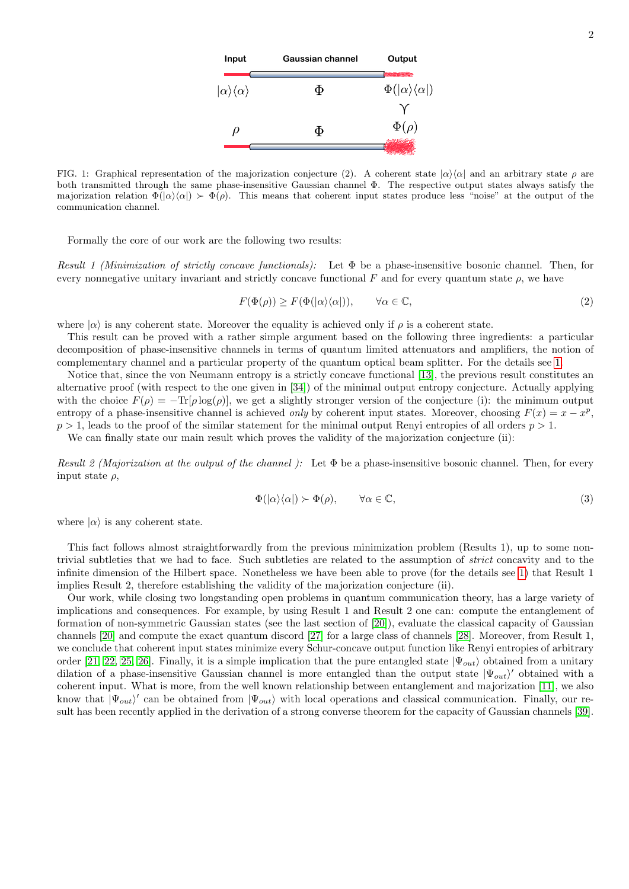

<span id="page-1-0"></span>FIG. 1: Graphical representation of the majorization conjecture (2). A coherent state  $|\alpha\rangle\langle\alpha|$  and an arbitrary state  $\rho$  are both transmitted through the same phase-insensitive Gaussian channel Φ. The respective output states always satisfy the majorization relation  $\Phi(|\alpha\rangle\langle\alpha|) \succ \Phi(\rho)$ . This means that coherent input states produce less "noise" at the output of the communication channel.

Formally the core of our work are the following two results:

Result 1 (Minimization of strictly concave functionals): Let  $\Phi$  be a phase-insensitive bosonic channel. Then, for every nonnegative unitary invariant and strictly concave functional F and for every quantum state  $\rho$ , we have

$$
F(\Phi(\rho)) \ge F(\Phi(|\alpha\rangle\langle\alpha|)), \qquad \forall \alpha \in \mathbb{C}, \tag{2}
$$

where  $|\alpha\rangle$  is any coherent state. Moreover the equality is achieved only if  $\rho$  is a coherent state.

This result can be proved with a rather simple argument based on the following three ingredients: a particular decomposition of phase-insensitive channels in terms of quantum limited attenuators and amplifiers, the notion of complementary channel and a particular property of the quantum optical beam splitter. For the details see [1.](#page-0-0)

Notice that, since the von Neumann entropy is a strictly concave functional [\[13\]](#page-2-24), the previous result constitutes an alternative proof (with respect to the one given in [\[34\]](#page-2-2)) of the minimal output entropy conjecture. Actually applying with the choice  $F(\rho) = -\text{Tr}[\rho \log(\rho)]$ , we get a slightly stronger version of the conjecture (i): the minimum output entropy of a phase-insensitive channel is achieved *only* by coherent input states. Moreover, choosing  $F(x) = x - x^p$ ,  $p > 1$ , leads to the proof of the similar statement for the minimal output Renyi entropies of all orders  $p > 1$ .

We can finally state our main result which proves the validity of the majorization conjecture (ii):

Result 2 (Majorization at the output of the channel): Let  $\Phi$  be a phase-insensitive bosonic channel. Then, for every input state  $\rho$ ,

$$
\Phi(|\alpha\rangle\langle\alpha|) \succ \Phi(\rho), \qquad \forall \alpha \in \mathbb{C}, \tag{3}
$$

where  $|\alpha\rangle$  is any coherent state.

This fact follows almost straightforwardly from the previous minimization problem (Results 1), up to some nontrivial subtleties that we had to face. Such subtleties are related to the assumption of strict concavity and to the infinite dimension of the Hilbert space. Nonetheless we have been able to prove (for the details see [1\)](#page-0-0) that Result 1 implies Result 2, therefore establishing the validity of the majorization conjecture (ii).

Our work, while closing two longstanding open problems in quantum communication theory, has a large variety of implications and consequences. For example, by using Result 1 and Result 2 one can: compute the entanglement of formation of non-symmetric Gaussian states (see the last section of [\[20\]](#page-2-3)), evaluate the classical capacity of Gaussian channels [\[20\]](#page-2-3) and compute the exact quantum discord [\[27\]](#page-2-20) for a large class of channels [\[28\]](#page-2-21). Moreover, from Result 1, we conclude that coherent input states minimize every Schur-concave output function like Renyi entropies of arbitrary order [\[21,](#page-2-16) [22,](#page-2-17) [25,](#page-2-18) [26\]](#page-2-19). Finally, it is a simple implication that the pure entangled state  $|\Psi_{out}\rangle$  obtained from a unitary dilation of a phase-insensitive Gaussian channel is more entangled than the output state  $|\Psi_{out}\rangle'$  obtained with a coherent input. What is more, from the well known relationship between entanglement and majorization [\[11\]](#page-2-10), we also know that  $|\Psi_{out}\rangle'$  can be obtained from  $|\Psi_{out}\rangle$  with local operations and classical communication. Finally, our result has been recently applied in the derivation of a strong converse theorem for the capacity of Gaussian channels [\[39\]](#page-3-0).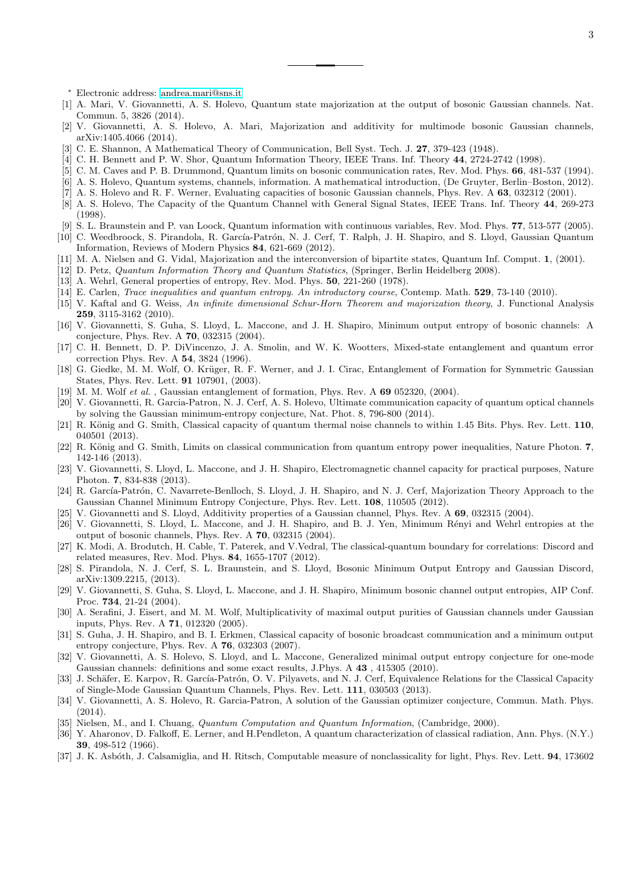<span id="page-2-0"></span><sup>∗</sup> Electronic address: [andrea.mari@sns.it](mailto:andrea.mari@sns.it)

- <span id="page-2-1"></span>[1] A. Mari, V. Giovannetti, A. S. Holevo, Quantum state majorization at the output of bosonic Gaussian channels. Nat. Commun. 5, 3826 (2014).
- <span id="page-2-4"></span>[2] V. Giovannetti, A. S. Holevo, A. Mari, Majorization and additivity for multimode bosonic Gaussian channels, arXiv:1405.4066 (2014).
- <span id="page-2-9"></span>[3] C. E. Shannon, A Mathematical Theory of Communication, Bell Syst. Tech. J. 27, 379-423 (1948).
- [4] C. H. Bennett and P. W. Shor, Quantum Information Theory, IEEE Trans. Inf. Theory 44, 2724-2742 (1998).
- <span id="page-2-8"></span>[5] C. M. Caves and P. B. Drummond, Quantum limits on bosonic communication rates, Rev. Mod. Phys. 66, 481-537 (1994).
- <span id="page-2-5"></span>[6] A. S. Holevo, Quantum systems, channels, information. A mathematical introduction, (De Gruyter, Berlin–Boston, 2012).
- [7] A. S. Holevo and R. F. Werner, Evaluating capacities of bosonic Gaussian channels, Phys. Rev. A 63, 032312 (2001).
- <span id="page-2-6"></span>[8] A. S. Holevo, The Capacity of the Quantum Channel with General Signal States, IEEE Trans. Inf. Theory 44, 269-273 (1998).
- [9] S. L. Braunstein and P. van Loock, Quantum information with continuous variables, Rev. Mod. Phys. 77, 513-577 (2005).

<span id="page-2-7"></span>[10] C. Weedbroock, S. Pirandola, R. García-Patrón, N. J. Cerf, T. Ralph, J. H. Shapiro, and S. Lloyd, Gaussian Quantum Information, Reviews of Modern Physics 84, 621-669 (2012).

- <span id="page-2-10"></span>[11] M. A. Nielsen and G. Vidal, Majorization and the interconversion of bipartite states, Quantum Inf. Comput. 1, (2001).
- [12] D. Petz, Quantum Information Theory and Quantum Statistics, (Springer, Berlin Heidelberg 2008).
- <span id="page-2-24"></span>[13] A. Wehrl, General properties of entropy, Rev. Mod. Phys. **50**, 221-260 (1978).
- <span id="page-2-11"></span>[14] E. Carlen, Trace inequalities and quantum entropy. An introductory course, Contemp. Math. 529, 73-140 (2010).
- <span id="page-2-12"></span>[15] V. Kaftal and G. Weiss, An infinite dimensional Schur-Horn Theorem and majorization theory, J. Functional Analysis 259, 3115-3162 (2010).
- <span id="page-2-13"></span>[16] V. Giovannetti, S. Guha, S. Lloyd, L. Maccone, and J. H. Shapiro, Minimum output entropy of bosonic channels: A conjecture, Phys. Rev. A 70, 032315 (2004).
- <span id="page-2-14"></span>[17] C. H. Bennett, D. P. DiVincenzo, J. A. Smolin, and W. K. Wootters, Mixed-state entanglement and quantum error correction Phys. Rev. A 54, 3824 (1996).
- [18] G. Giedke, M. M. Wolf, O. Krüger, R. F. Werner, and J. I. Cirac, Entanglement of Formation for Symmetric Gaussian States, Phys. Rev. Lett. 91 107901, (2003).
- [19] M. M. Wolf et al., Gaussian entanglement of formation, Phys. Rev. A 69 052320, (2004).
- <span id="page-2-3"></span>[20] V. Giovannetti, R. Garcia-Patron, N. J. Cerf, A. S. Holevo, Ultimate communication capacity of quantum optical channels by solving the Gaussian minimum-entropy conjecture, Nat. Phot. 8, 796-800 (2014).
- <span id="page-2-16"></span>[21] R. König and G. Smith, Classical capacity of quantum thermal noise channels to within 1.45 Bits. Phys. Rev. Lett. 110, 040501 (2013).
- <span id="page-2-17"></span>[22] R. König and G. Smith, Limits on classical communication from quantum entropy power inequalities, Nature Photon. 7, 142-146 (2013).
- [23] V. Giovannetti, S. Lloyd, L. Maccone, and J. H. Shapiro, Electromagnetic channel capacity for practical purposes, Nature Photon. 7, 834-838 (2013).
- <span id="page-2-15"></span>[24] R. García-Patrón, C. Navarrete-Benlloch, S. Lloyd, J. H. Shapiro, and N. J. Cerf, Majorization Theory Approach to the Gaussian Channel Minimum Entropy Conjecture, Phys. Rev. Lett. 108, 110505 (2012).
- <span id="page-2-18"></span>[25] V. Giovannetti and S. Lloyd, Additivity properties of a Gaussian channel, Phys. Rev. A 69, 032315 (2004).
- <span id="page-2-19"></span>[26] V. Giovannetti, S. Lloyd, L. Maccone, and J. H. Shapiro, and B. J. Yen, Minimum Rényi and Wehrl entropies at the output of bosonic channels, Phys. Rev. A 70, 032315 (2004).
- <span id="page-2-20"></span>[27] K. Modi, A. Brodutch, H. Cable, T. Paterek, and V.Vedral, The classical-quantum boundary for correlations: Discord and related measures, Rev. Mod. Phys. 84, 1655-1707 (2012).
- <span id="page-2-21"></span>[28] S. Pirandola, N. J. Cerf, S. L. Braunstein, and S. Lloyd, Bosonic Minimum Output Entropy and Gaussian Discord, arXiv:1309.2215, (2013).
- <span id="page-2-22"></span>[29] V. Giovannetti, S. Guha, S. Lloyd, L. Maccone, and J. H. Shapiro, Minimum bosonic channel output entropies, AIP Conf. Proc. 734, 21-24 (2004).
- [30] A. Serafini, J. Eisert, and M. M. Wolf, Multiplicativity of maximal output purities of Gaussian channels under Gaussian inputs, Phys. Rev. A 71, 012320 (2005).
- [31] S. Guha, J. H. Shapiro, and B. I. Erkmen, Classical capacity of bosonic broadcast communication and a minimum output entropy conjecture, Phys. Rev. A 76, 032303 (2007).
- [32] V. Giovannetti, A. S. Holevo, S. Lloyd, and L. Maccone, Generalized minimal output entropy conjecture for one-mode Gaussian channels: definitions and some exact results, J.Phys. A 43 , 415305 (2010).
- <span id="page-2-23"></span>[33] J. Schäfer, E. Karpov, R. García-Patrón, O. V. Pilyavets, and N. J. Cerf, Equivalence Relations for the Classical Capacity of Single-Mode Gaussian Quantum Channels, Phys. Rev. Lett. 111, 030503 (2013).
- <span id="page-2-2"></span>[34] V. Giovannetti, A. S. Holevo, R. Garcia-Patron, A solution of the Gaussian optimizer conjecture, Commun. Math. Phys.  $(2014)$ .
- [35] Nielsen, M., and I. Chuang, *Quantum Computation and Quantum Information*, (Cambridge, 2000).
- [36] Y. Aharonov, D. Falkoff, E. Lerner, and H.Pendleton, A quantum characterization of classical radiation, Ann. Phys. (N.Y.) 39, 498-512 (1966).
- [37] J. K. Asbóth, J. Calsamiglia, and H. Ritsch, Computable measure of nonclassicality for light, Phys. Rev. Lett. 94, 173602